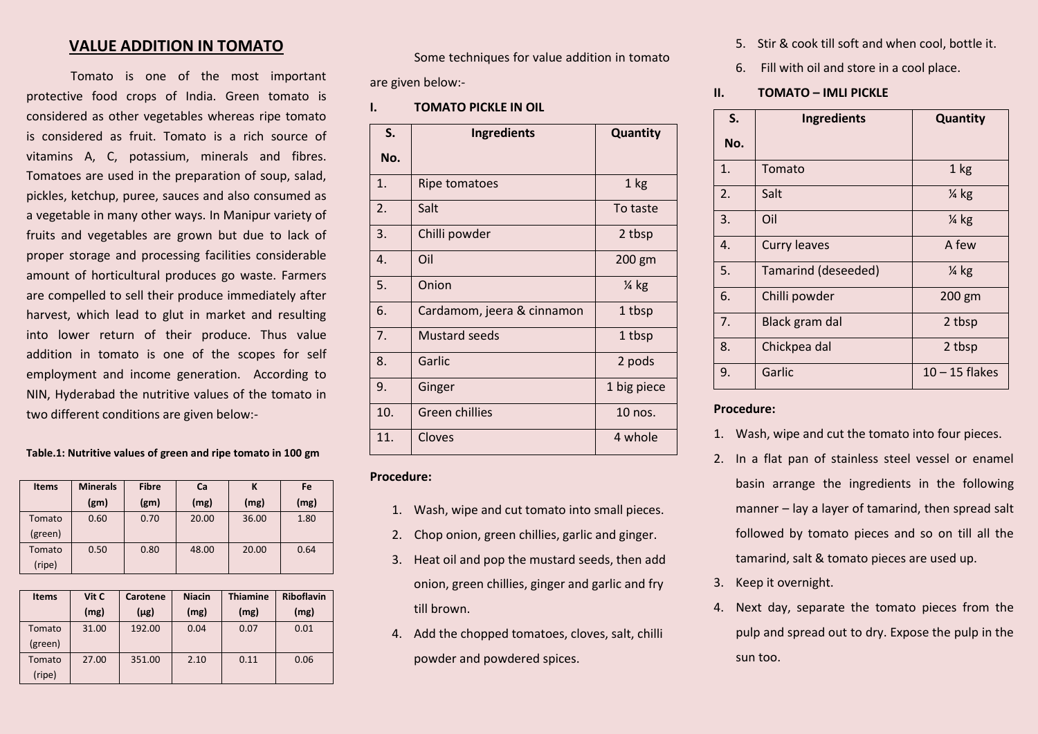## **VALUE ADDITION IN TOMATO**

Tomato is one of the most important protective food crops of India. Green tomato is considered as other vegetables whereas ripe tomato is considered as fruit. Tomato is a rich source of vitamins A, C, potassium, minerals and fibres. Tomatoes are used in the preparation of soup, salad, pickles, ketchup, puree, sauces and also consumed as a vegetable in many other ways. In Manipur variety of fruits and vegetables are grown but due to lack of proper storage and processing facilities considerable amount of horticultural produces go waste. Farmers are compelled to sell their produce immediately after harvest, which lead to glut in market and resulting into lower return of their produce. Thus value addition in tomato is one of the scopes for self employment and income generation. According to NIN, Hyderabad the nutritive values of the tomato in two different conditions are given below:-

**Table.1: Nutritive values of green and ripe tomato in 100 gm**

| <b>Items</b> | <b>Minerals</b>   | <b>Fibre</b>      | Ca    | К     | Fe   |
|--------------|-------------------|-------------------|-------|-------|------|
|              | (g <sub>m</sub> ) | (g <sub>m</sub> ) | (mg)  | (mg)  | (mg) |
| Tomato       | 0.60              | 0.70              | 20.00 | 36.00 | 1.80 |
| (green)      |                   |                   |       |       |      |
| Tomato       | 0.50              | 0.80              | 48.00 | 20.00 | 0.64 |
| (ripe)       |                   |                   |       |       |      |

| <b>Items</b> | Vit C | Carotene  | <b>Niacin</b> | <b>Thiamine</b> | <b>Riboflavin</b> |
|--------------|-------|-----------|---------------|-----------------|-------------------|
|              | (mg)  | $(\mu$ g) | (mg)          | (mg)            | (mg)              |
| Tomato       | 31.00 | 192.00    | 0.04          | 0.07            | 0.01              |
| (green)      |       |           |               |                 |                   |
| Tomato       | 27.00 | 351.00    | 2.10          | 0.11            | 0.06              |
| (ripe)       |       |           |               |                 |                   |

Some techniques for value addition in tomato are given below:-

**I. TOMATO PICKLE IN OIL**

| S.  | Ingredients                | Quantity         |
|-----|----------------------------|------------------|
| No. |                            |                  |
| 1.  | <b>Ripe tomatoes</b>       | 1 kg             |
| 2.  | Salt                       | To taste         |
| 3.  | Chilli powder              | 2 tbsp           |
| 4.  | Oil                        | 200 gm           |
| 5.  | Onion                      | $\frac{1}{4}$ kg |
| 6.  | Cardamom, jeera & cinnamon | 1 tbsp           |
| 7.  | <b>Mustard seeds</b>       | 1 tbsp           |
| 8.  | Garlic                     | 2 pods           |
| 9.  | Ginger                     | 1 big piece      |
| 10. | Green chillies             | 10 nos.          |
| 11. | Cloves                     | 4 whole          |

- **Procedure:**
	- 1. Wash, wipe and cut tomato into small pieces.
	- 2. Chop onion, green chillies, garlic and ginger.
	- 3. Heat oil and pop the mustard seeds, then add onion, green chillies, ginger and garlic and fry till brown.
	- 4. Add the chopped tomatoes, cloves, salt, chilli powder and powdered spices.
- 5. Stir & cook till soft and when cool, bottle it.
- 6. Fill with oil and store in a cool place.
- **II. TOMATO – IMLI PICKLE**

| S.  | <b>Ingredients</b>  | Quantity         |
|-----|---------------------|------------------|
| No. |                     |                  |
| 1.  | Tomato              | 1 kg             |
| 2.  | Salt                | $\frac{1}{4}$ kg |
| 3.  | Oil                 | $\frac{1}{4}$ kg |
| 4.  | <b>Curry leaves</b> | A few            |
| 5.  | Tamarind (deseeded) | $\frac{1}{4}$ kg |
| 6.  | Chilli powder       | 200 gm           |
| 7.  | Black gram dal      | 2 tbsp           |
| 8.  | Chickpea dal        | 2 tbsp           |
| 9.  | Garlic              | $10 - 15$ flakes |

## **Procedure:**

- 1. Wash, wipe and cut the tomato into four pieces.
- 2. In a flat pan of stainless steel vessel or enamel basin arrange the ingredients in the following manner – lay a layer of tamarind, then spread salt followed by tomato pieces and so on till all the tamarind, salt & tomato pieces are used up.
- 3. Keep it overnight.
- 4. Next day, separate the tomato pieces from the pulp and spread out to dry. Expose the pulp in the sun too.